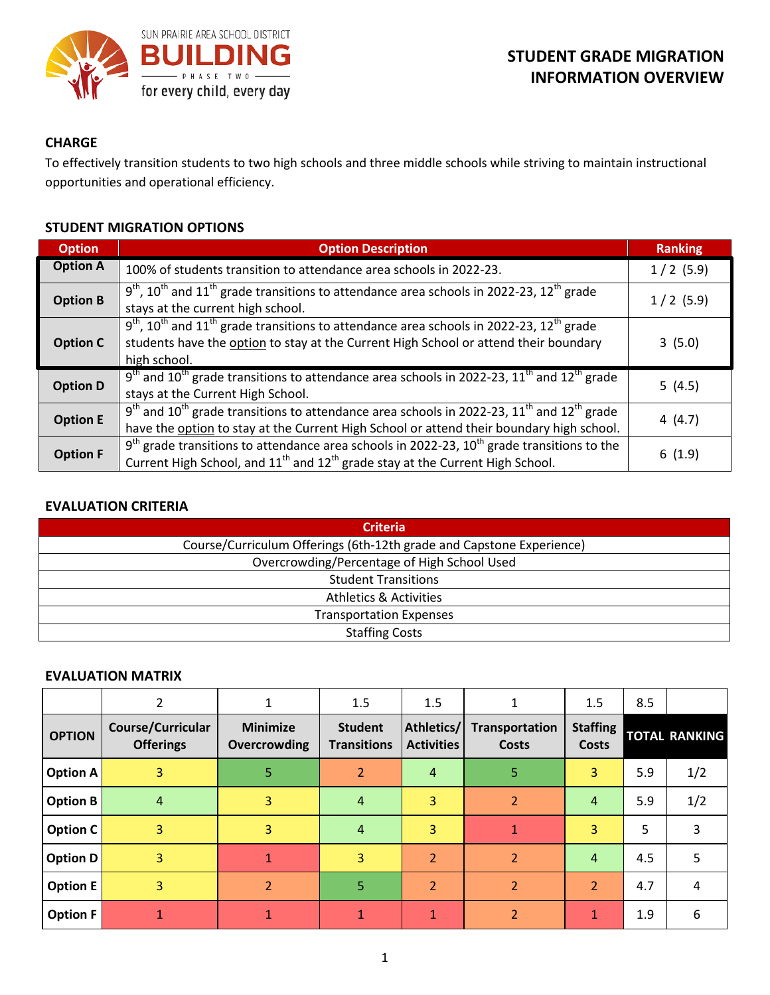

## **CHARGE**

To effectively transition students to two high schools and three middle schools while striving to maintain instructional opportunities and operational efficiency.

### **STUDENT MIGRATION OPTIONS**

| <b>Option</b>   | <b>Option Description</b>                                                                                                                                                                                                             |             |  |  |
|-----------------|---------------------------------------------------------------------------------------------------------------------------------------------------------------------------------------------------------------------------------------|-------------|--|--|
| <b>Option A</b> | 100% of students transition to attendance area schools in 2022-23.                                                                                                                                                                    | $1/2$ (5.9) |  |  |
| <b>Option B</b> | $9th$ , 10 <sup>th</sup> and 11 <sup>th</sup> grade transitions to attendance area schools in 2022-23, 12 <sup>th</sup> grade<br>stays at the current high school.                                                                    | $1/2$ (5.9) |  |  |
| <b>Option C</b> | $9th$ , 10 <sup>th</sup> and 11 <sup>th</sup> grade transitions to attendance area schools in 2022-23, 12 <sup>th</sup> grade<br>students have the option to stay at the Current High School or attend their boundary<br>high school. | 3(5.0)      |  |  |
| <b>Option D</b> | $9th$ and 10 <sup>th</sup> grade transitions to attendance area schools in 2022-23, 11 <sup>th</sup> and 12 <sup>th</sup> grade<br>stays at the Current High School.                                                                  | 5(4.5)      |  |  |
| <b>Option E</b> | $9th$ and 10 <sup>th</sup> grade transitions to attendance area schools in 2022-23, 11 <sup>th</sup> and 12 <sup>th</sup> grade<br>have the option to stay at the Current High School or attend their boundary high school.           | 4(4.7)      |  |  |
| <b>Option F</b> | $9th$ grade transitions to attendance area schools in 2022-23, 10 <sup>th</sup> grade transitions to the<br>Current High School, and $11^{th}$ and $12^{th}$ grade stay at the Current High School.                                   | 6(1.9)      |  |  |

# **EVALUATION CRITERIA**

| <b>Criteria</b>                                                      |  |  |  |  |
|----------------------------------------------------------------------|--|--|--|--|
| Course/Curriculum Offerings (6th-12th grade and Capstone Experience) |  |  |  |  |
| Overcrowding/Percentage of High School Used                          |  |  |  |  |
| <b>Student Transitions</b>                                           |  |  |  |  |
| <b>Athletics &amp; Activities</b>                                    |  |  |  |  |
| <b>Transportation Expenses</b>                                       |  |  |  |  |
| <b>Staffing Costs</b>                                                |  |  |  |  |

#### **EVALUATION MATRIX**

|                 | 2                                            |                                 | 1.5                                  | 1.5                             | 1                                     | 1.5                      | 8.5 |                      |
|-----------------|----------------------------------------------|---------------------------------|--------------------------------------|---------------------------------|---------------------------------------|--------------------------|-----|----------------------|
| <b>OPTION</b>   | <b>Course/Curricular</b><br><b>Offerings</b> | <b>Minimize</b><br>Overcrowding | <b>Student</b><br><b>Transitions</b> | Athletics/<br><b>Activities</b> | <b>Transportation</b><br><b>Costs</b> | <b>Staffing</b><br>Costs |     | <b>TOTAL RANKING</b> |
| <b>Option A</b> | 3                                            | 5                               | $\overline{2}$                       | $\overline{4}$                  | 5                                     | 3                        | 5.9 | 1/2                  |
| <b>Option B</b> | $\overline{4}$                               | 3                               | $\overline{4}$                       | 3                               | $\overline{2}$                        | $\overline{4}$           | 5.9 | 1/2                  |
| Option C        | 3                                            | 3                               | $\overline{4}$                       | 3                               | $\mathbf 1$                           | $\mathbf{3}^{\prime}$    | 5   | 3                    |
| <b>Option D</b> | 3                                            | $\mathbf{1}$                    | $\overline{3}$                       | 2                               | $\overline{2}$                        | $\overline{4}$           | 4.5 | 5                    |
| <b>Option E</b> | 3                                            | $\overline{2}$                  | 5                                    | $\overline{\mathcal{L}}$        | $\overline{\phantom{a}}$              | $\overline{2}$           | 4.7 | 4                    |
| <b>Option F</b> | 1                                            |                                 |                                      | 1                               | $\overline{2}$                        | 1                        | 1.9 | 6                    |